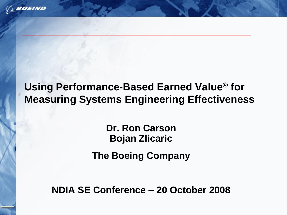

## **Using Performance-Based Earned Value® for Measuring Systems Engineering Effectiveness**

**Dr. Ron Carson Bojan Zlicaric**

**The Boeing Company**

**NDIA SE Conference – 20 October 2008**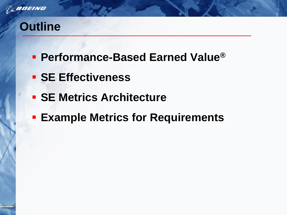

# **Outline**

- **Performance-Based Earned Value®**
- **SE Effectiveness**
- **F SE Metrics Architecture**
- **Example Metrics for Requirements**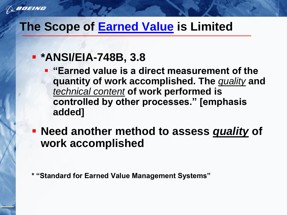## **The Scope of Earned Value is Limited**

## **\*ANSI/EIA-748B, 3.8**

- **"Earned value is a direct measurement of the quantity of work accomplished. The** *quality* **and**  *technical content* **of work performed is controlled by other processes." [emphasis added]**
- **Need another method to assess** *quality* **of work accomplished**

**\* "Standard for Earned Value Management Systems"**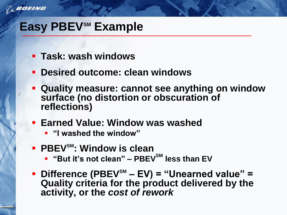

# **Easy PBEVSM Example**

- **Task: wash windows**
- **Desired outcome: clean windows**
- **Quality measure: cannot see anything on window surface (no distortion or obscuration of reflections)**
- **Earned Value: Window was washed**
	- **"I washed the window"**
- **PBEVSM: Window is clean**
	- **"But it's not clean" – PBEVSM less than EV**
- **Difference (PBEVSM – EV) = "Unearned value" = Quality criteria for the product delivered by the activity, or the** *cost of rework*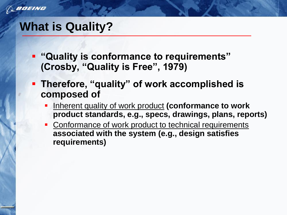

## **What is Quality?**

- **"Quality is conformance to requirements" (Crosby, "Quality is Free", 1979)**
- **Therefore, "quality" of work accomplished is composed of**
	- Inherent quality of work product **(conformance to work product standards, e.g., specs, drawings, plans, reports)**
	- Conformance of work product to technical requirements **associated with the system (e.g., design satisfies requirements)**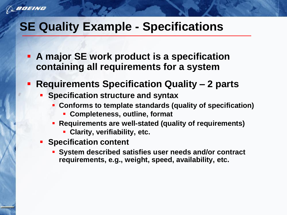*BOEING* 

# **SE Quality Example - Specifications**

- **A major SE work product is a specification containing all requirements for a system**
- **Requirements Specification Quality – 2 parts**
	- **Specification structure and syntax**
		- **Conforms to template standards (quality of specification)**
			- **Completeness, outline, format**
		- **Requirements are well-stated (quality of requirements)**
			- **Clarity, verifiability, etc.**
	- **Specification content** 
		- **System described satisfies user needs and/or contract requirements, e.g., weight, speed, availability, etc.**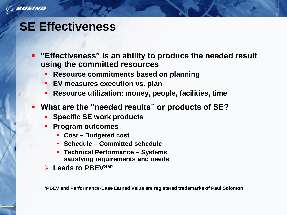

## **SE Effectiveness**

- **"Effectiveness" is an ability to produce the needed result using the committed resources**
	- **Resource commitments based on planning**
	- **EV measures execution vs. plan**
	- **Resource utilization: money, people, facilities, time**
- **What are the "needed results" or products of SE?**
	- **Specific SE work products**
	- **Program outcomes**
		- **Cost – Budgeted cost**
		- **Schedule – Committed schedule**
		- **Technical Performance – Systems satisfying requirements and needs**
	- **Leads to PBEVSM\***

**\*PBEV and Performance-Base Earned Value are registered trademarks of Paul Solomon**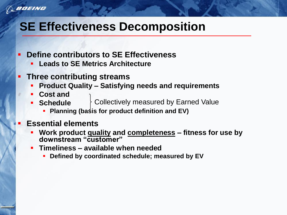

# **SE Effectiveness Decomposition**

- **Define contributors to SE Effectiveness**
	- **Leads to SE Metrics Architecture**
- **Three contributing streams**
	- **Product Quality – Satisfying needs and requirements**
	- **Cost and**
	- **Schedule**  Collectively measured by Earned Value
		- **Planning (basts for product definition and EV)**
	- **Essential elements**
		- **Work product quality and completeness – fitness for use by downstream "customer"**
		- **Timeliness – available when needed**
			- **Defined by coordinated schedule; measured by EV**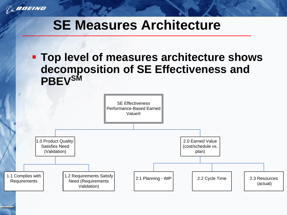

# **SE Measures Architecture**

 **Top level of measures architecture shows decomposition of SE Effectiveness and PBEVSM**

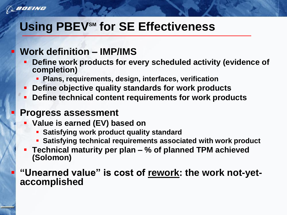*BOEING* 

# **Using PBEV<sup>SM</sup> for SE Effectiveness**

### **Work definition – IMP/IMS**

- **Define work products for every scheduled activity (evidence of completion)**
	- **Plans, requirements, design, interfaces, verification**
- **Define objective quality standards for work products**
- **Define technical content requirements for work products**

### **Progress assessment**

- **Value is earned (EV) based on** 
	- **Satisfying work product quality standard**
	- **Satisfying technical requirements associated with work product**
- **Technical maturity per plan – % of planned TPM achieved (Solomon)**

 **"Unearned value" is cost of rework: the work not-yetaccomplished**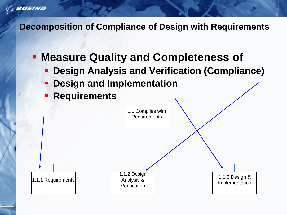*BOEING* 

#### **Decomposition of Compliance of Design with Requirements**

- **Measure Quality and Completeness of**
	- **Design Analysis and Verification (Compliance)**
	- **Design and Implementation**
	- **Requirements**

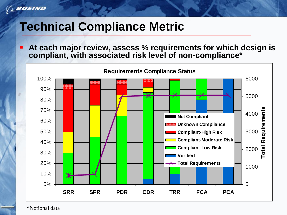

s

# **Technical Compliance Metric**

 **At each major review, assess % requirements for which design is compliant, with associated risk level of non-compliance\***



\*Notional data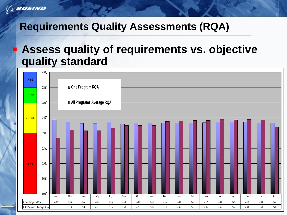

### **Requirements Quality Assessments (RQA)**

## **Assess quality of requirements vs. objective quality standard**